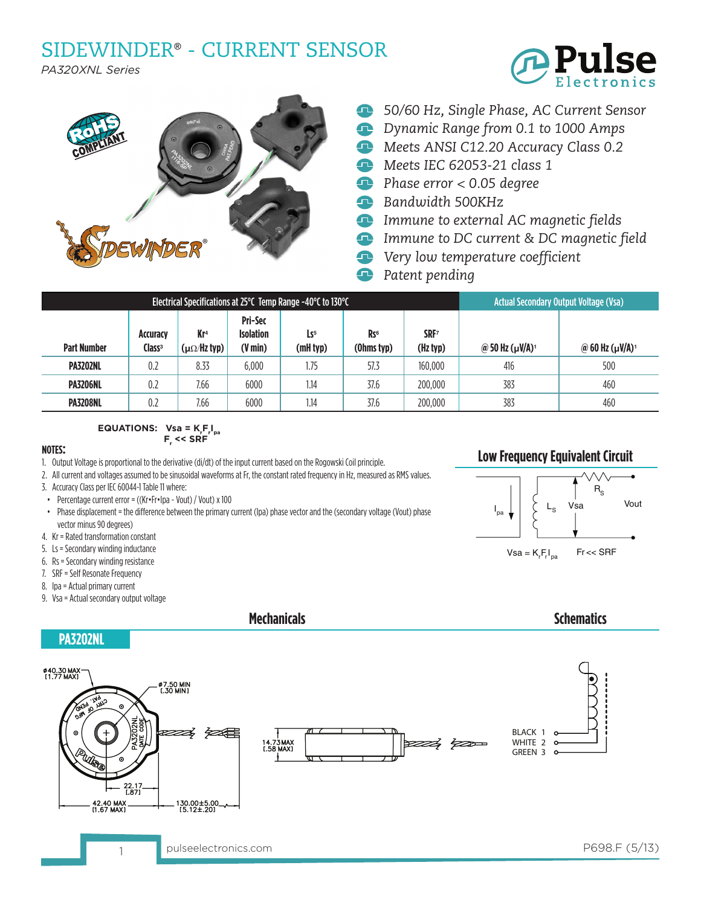## SIDEWINDER® - CURRENT SENSOR

*PA320XNL Series*





- **E 50/60 Hz, Single Phase, AC Current Sensor**
- *Dynamic Range from 0.1 to 1000 Amps*
- *Meets ANSI C12.20 Accuracy Class 0.2*
- *Meets IEC 62053-21 class 1*
- *Phase error < 0.05 degree*
- *Bandwidth 500KHz*
- *Immune to external AC magnetic fields*
- *Immune to DC current & DC magnetic field*
- *Very low temperature coefficient*
- Q *Patent pending*

| Electrical Specifications at 25 $^{\circ}$ C Temp Range -40 $^{\circ}$ C to 130 $^{\circ}$ C |                                |                                                       |                                                         |                             |                                           |                              | <b>Actual Secondary Output Voltage (Vsa)</b> |                       |
|----------------------------------------------------------------------------------------------|--------------------------------|-------------------------------------------------------|---------------------------------------------------------|-----------------------------|-------------------------------------------|------------------------------|----------------------------------------------|-----------------------|
| <b>Part Number</b>                                                                           | Accuracy<br>Class <sup>3</sup> | Kr <sup>4</sup><br>$(\mu\Omega/\text{Hz} \text{typ})$ | <b>Pri-Sec</b><br><b>Isolation</b><br>$(V \text{ min})$ | Ls <sub>5</sub><br>(mH typ) | R <sub>S</sub> <sub>6</sub><br>(Ohms typ) | SRF <sub>7</sub><br>(Hz typ) | @ 50 Hz $(\mu V/A)^1$                        | @ 60 Hz $(\mu V/A)^1$ |
| <b>PA3202NL</b>                                                                              | 0.2                            | 8.33                                                  | 6,000                                                   | 1.75                        | 57.3                                      | 160,000                      | 416                                          | 500                   |
| <b>PA3206NL</b>                                                                              | 0.2                            | 7.66                                                  | 6000                                                    | 1.14                        | 37.6                                      | 200,000                      | 383                                          | 460                   |
| <b>PA3208NL</b>                                                                              | 0.2                            | 7.66                                                  | 6000                                                    | 1.14                        | 37.6                                      | 200,000                      | 383                                          | 460                   |

 $\textsf{EQUATIONS:} \quad \textsf{Vsa} = \textsf{K}_{_{\sf r}}\textsf{F}_{_{\sf r}}\textsf{I}_{_{\sf pa}}$  **Fr << SRF**

### **NOTES:**

1. Output Voltage is proportional to the derivative (di/dt) of the input current based on the Rogowski Coil principle.

2. All current and voltages assumed to be sinusoidal waveforms at Fr, the constant rated frequency in Hz, measured as RMS values.

- 3. Accuracy Class per IEC 60044-1 Table 11 where:
- Percentage current error =  $((Kr \cdot Fr \cdot Ipa Vout) / Vout) \times 100$
- • Phase displacement = the difference between the primary current (Ipa) phase vector and the (secondary voltage (Vout) phase vector minus 90 degrees)

**Mechanicals**

- 4. Kr = Rated transformation constant
- 5. Ls = Secondary winding inductance
- 6. Rs = Secondary winding resistance
- 7. SRF = Self Resonate Frequency
- 8. Ipa = Actual primary current
- 9. Vsa = Actual secondary output voltage



**Schematics**

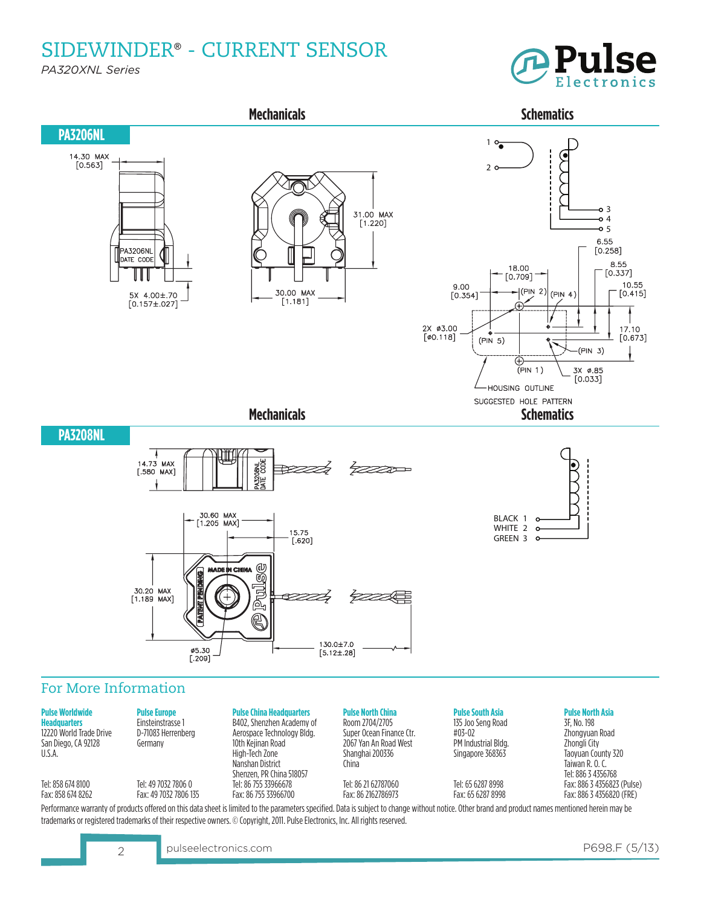SIDEWINDER® - CURRENT SENSOR

*PA320XNL Series*





#### **Pulse Worldwide Headquarters** 12220 World Trade Drive San Diego, CA 92128 U.S.A.

Tel: 858 674 8100 Fax:8586748262 Einsteinstrasse 1 D-71083 Herrenberg Germany

Tel: 49 7032 7806 0

B402, Shenzhen Academy of Aerospace Technology Bldg.

10th Kejinan Road High-Tech Zone Nanshan District Shenzen, PR China 518057 Tel: 86 755 33966678 Fax:8675533966700

**Pulse North China** Room 2704/2705 Super Ocean Finance Ctr. 2067 Yan An Road West Shanghai 200336 China

Tel: 86 21 62787060 Fax:862162786973 **Pulse South Asia**

135 Joo Seng Road #03-02 PM Industrial Bldg. Singapore 368363

Tel: 65 6287 8998 Fax:6562878998

## **Pulse North Asia**

3F, No. 198 Zhongyuan Road Zhongli City Taoyuan County 320 Taiwan R. O. C. Tel: 886 3 4356768 Fax:88634356823 (Pulse) Fax:88634356820(FRE)

Fax:4970327806135 Performance warranty of products offered on this data sheet is limited to the parameters specified. Data is subject to change without notice. Other brand and product names mentioned herein may be trademarks or registered trademarks of their respective owners. © Copyright, 2011. Pulse Electronics, Inc. All rights reserved.